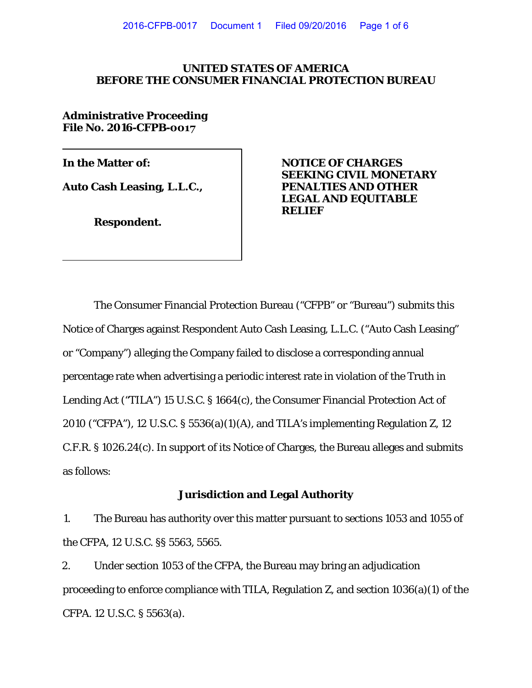### **UNITED STATES OF AMERICA BEFORE THE CONSUMER FINANCIAL PROTECTION BUREAU**

**Administrative Proceeding File No. 2016-CFPB-0017**

**Auto Cash Leasing, L.L.C.,** 

**Respondent.** 

In the Matter of: **NOTICE OF CHARGES SEEKING CIVIL MONETARY LEGAL AND EQUITABLE RELIEF**

The Consumer Financial Protection Bureau ("CFPB" or "Bureau") submits this Notice of Charges against Respondent Auto Cash Leasing, L.L.C. ("Auto Cash Leasing" or "Company") alleging the Company failed to disclose a corresponding annual percentage rate when advertising a periodic interest rate in violation of the Truth in Lending Act ("TILA") 15 U.S.C. § 1664(c), the Consumer Financial Protection Act of 2010 ("CFPA"), 12 U.S.C. § 5536(a)(1)(A), and TILA's implementing Regulation Z, 12 C.F.R. § 1026.24(c). In support of its Notice of Charges, the Bureau alleges and submits as follows:

## **Jurisdiction and Legal Authority**

1. The Bureau has authority over this matter pursuant to sections 1053 and 1055 of the CFPA, 12 U.S.C. §§ 5563, 5565.

2. Under section 1053 of the CFPA, the Bureau may bring an adjudication proceeding to enforce compliance with TILA, Regulation Z, and section 1036(a)(1) of the CFPA. 12 U.S.C. § 5563(a).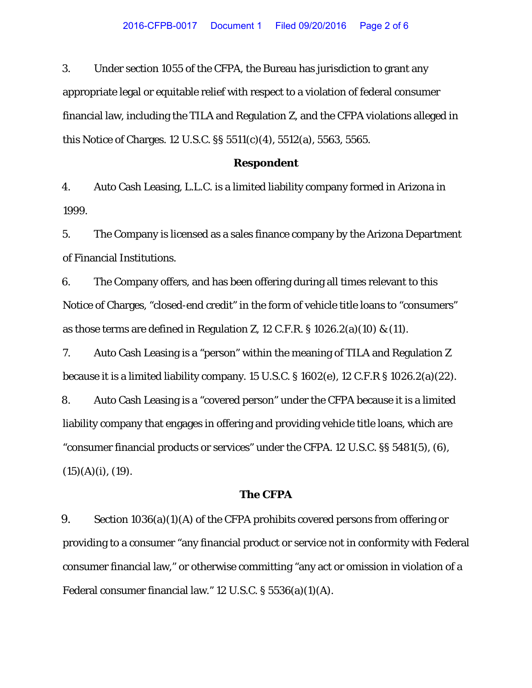3. Under section 1055 of the CFPA, the Bureau has jurisdiction to grant any appropriate legal or equitable relief with respect to a violation of federal consumer financial law, including the TILA and Regulation Z, and the CFPA violations alleged in this Notice of Charges. 12 U.S.C. §§ 5511(c)(4), 5512(a), 5563, 5565.

#### **Respondent**

4. Auto Cash Leasing, L.L.C. is a limited liability company formed in Arizona in 1999.

5. The Company is licensed as a sales finance company by the Arizona Department of Financial Institutions.

6. The Company offers, and has been offering during all times relevant to this Notice of Charges, "closed-end credit" in the form of vehicle title loans to "consumers" as those terms are defined in Regulation Z, 12 C.F.R. § 1026.2(a)(10) & (11).

7. Auto Cash Leasing is a "person" within the meaning of TILA and Regulation Z because it is a limited liability company. 15 U.S.C. § 1602(e), 12 C.F.R § 1026.2(a)(22).

8. Auto Cash Leasing is a "covered person" under the CFPA because it is a limited liability company that engages in offering and providing vehicle title loans, which are "consumer financial products or services" under the CFPA. 12 U.S.C. §§ 5481(5), (6),  $(15)(A)(i)$ ,  $(19)$ .

#### **The CFPA**

9. Section 1036(a)(1)(A) of the CFPA prohibits covered persons from offering or providing to a consumer "any financial product or service not in conformity with Federal consumer financial law," or otherwise committing "any act or omission in violation of a Federal consumer financial law." 12 U.S.C. § 5536(a)(1)(A).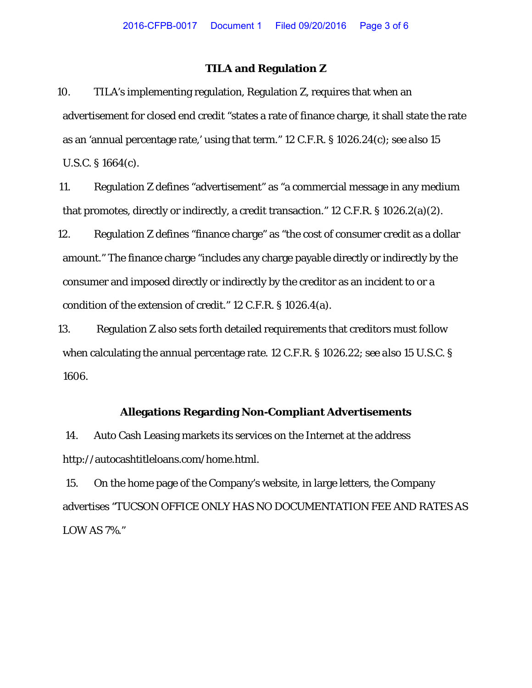## **TILA and Regulation Z**

10. TILA's implementing regulation, Regulation Z, requires that when an advertisement for closed end credit "states a rate of finance charge, it shall state the rate as an 'annual percentage rate,' using that term." 12 C.F.R. § 1026.24(c); *see also* 15 U.S.C. § 1664(c).

11. Regulation Z defines "advertisement" as "a commercial message in any medium that promotes, directly or indirectly, a credit transaction." 12 C.F.R. § 1026.2(a)(2).

12. Regulation Z defines "finance charge" as "the cost of consumer credit as a dollar amount." The finance charge "includes any charge payable directly or indirectly by the consumer and imposed directly or indirectly by the creditor as an incident to or a condition of the extension of credit." 12 C.F.R. § 1026.4(a).

13. Regulation Z also sets forth detailed requirements that creditors must follow when calculating the annual percentage rate. 12 C.F.R. § 1026.22; *see also* 15 U.S.C. § 1606.

### **Allegations Regarding Non-Compliant Advertisements**

14. Auto Cash Leasing markets its services on the Internet at the address http://autocashtitleloans.com/home.html.

15. On the home page of the Company's website, in large letters, the Company advertises "TUCSON OFFICE ONLY HAS NO DOCUMENTATION FEE AND RATES AS LOW AS 7%."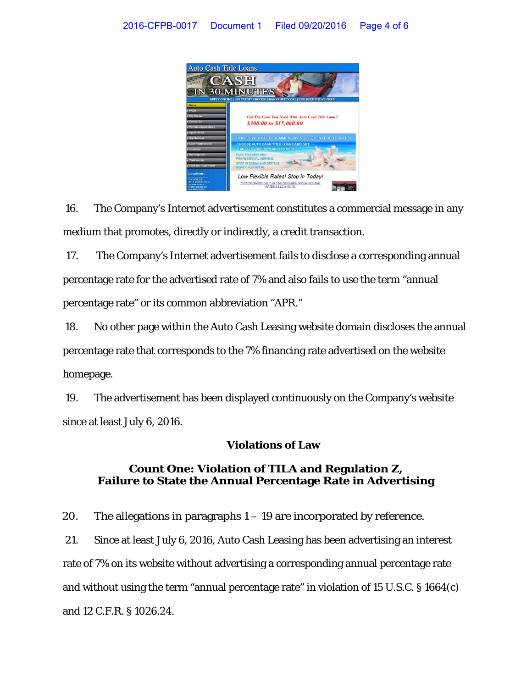

16. The Company's Internet advertisement constitutes a commercial message in any medium that promotes, directly or indirectly, a credit transaction.

17. The Company's Internet advertisement fails to disclose a corresponding annual percentage rate for the advertised rate of 7% and also fails to use the term "annual percentage rate" or its common abbreviation "APR."

18. No other page within the Auto Cash Leasing website domain discloses the annual percentage rate that corresponds to the 7% financing rate advertised on the website homepage.

19. The advertisement has been displayed continuously on the Company's website since at least July 6, 2016.

# **Violations of Law**

# **Count One: Violation of TILA and Regulation Z, Failure to State the Annual Percentage Rate in Advertising**

20. The allegations in paragraphs  $1 - 19$  are incorporated by reference.

21. Since at least July 6, 2016, Auto Cash Leasing has been advertising an interest rate of 7% on its website without advertising a corresponding annual percentage rate and without using the term "annual percentage rate" in violation of 15 U.S.C. § 1664(c) and 12 C.F.R. § 1026.24.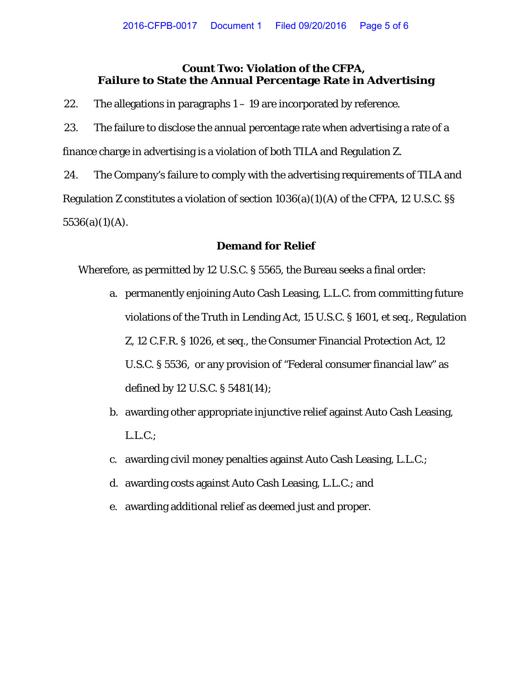# **Count Two: Violation of the CFPA, Failure to State the Annual Percentage Rate in Advertising**

22. The allegations in paragraphs  $1 - 19$  are incorporated by reference.

23. The failure to disclose the annual percentage rate when advertising a rate of a finance charge in advertising is a violation of both TILA and Regulation Z.

24. The Company's failure to comply with the advertising requirements of TILA and Regulation Z constitutes a violation of section 1036(a)(1)(A) of the CFPA, 12 U.S.C. §§  $5536(a)(1)(A)$ .

# **Demand for Relief**

Wherefore, as permitted by 12 U.S.C. § 5565, the Bureau seeks a final order:

- a. permanently enjoining Auto Cash Leasing, L.L.C. from committing future violations of the Truth in Lending Act, 15 U.S.C. § 1601, et seq., Regulation Z, 12 C.F.R. § 1026, et seq., the Consumer Financial Protection Act, 12 U.S.C. § 5536, or any provision of "Federal consumer financial law" as defined by 12 U.S.C. § 5481(14);
- b. awarding other appropriate injunctive relief against Auto Cash Leasing, L.L.C.;
- c. awarding civil money penalties against Auto Cash Leasing, L.L.C.;
- d. awarding costs against Auto Cash Leasing, L.L.C.; and
- e. awarding additional relief as deemed just and proper.